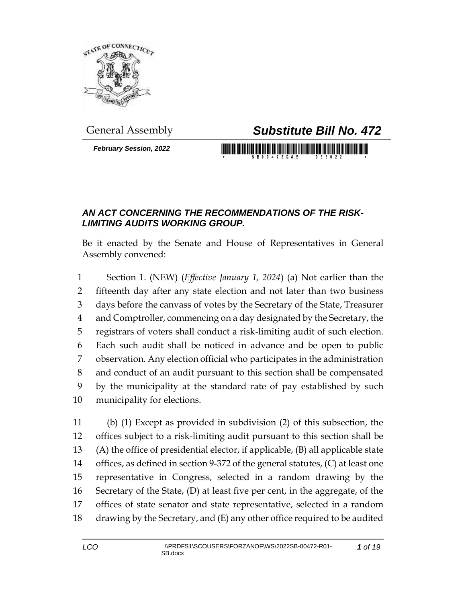

## General Assembly *Substitute Bill No. 472*

*February Session, 2022*

## <u> III di kacamatan ing Kabupatèn III di kacamatan III di kacamatan III di kacamatan III di kacamatan III di kacamatan III di kacamatan III di kacamatan III di kacamatan III di kacamatan III di kacamatan III di kacamatan II</u>

## *AN ACT CONCERNING THE RECOMMENDATIONS OF THE RISK-LIMITING AUDITS WORKING GROUP.*

Be it enacted by the Senate and House of Representatives in General Assembly convened:

 Section 1. (NEW) (*Effective January 1, 2024*) (a) Not earlier than the fifteenth day after any state election and not later than two business days before the canvass of votes by the Secretary of the State, Treasurer and Comptroller, commencing on a day designated by the Secretary, the registrars of voters shall conduct a risk-limiting audit of such election. Each such audit shall be noticed in advance and be open to public observation. Any election official who participates in the administration and conduct of an audit pursuant to this section shall be compensated by the municipality at the standard rate of pay established by such municipality for elections.

 (b) (1) Except as provided in subdivision (2) of this subsection, the offices subject to a risk-limiting audit pursuant to this section shall be (A) the office of presidential elector, if applicable, (B) all applicable state offices, as defined in section 9-372 of the general statutes, (C) at least one representative in Congress, selected in a random drawing by the Secretary of the State, (D) at least five per cent, in the aggregate, of the offices of state senator and state representative, selected in a random drawing by the Secretary, and (E) any other office required to be audited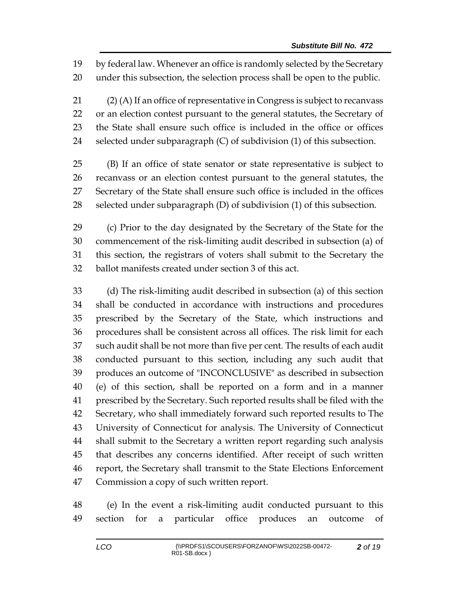by federal law. Whenever an office is randomly selected by the Secretary under this subsection, the selection process shall be open to the public.

 (2) (A) If an office of representative in Congress is subject to recanvass or an election contest pursuant to the general statutes, the Secretary of the State shall ensure such office is included in the office or offices selected under subparagraph (C) of subdivision (1) of this subsection.

 (B) If an office of state senator or state representative is subject to recanvass or an election contest pursuant to the general statutes, the Secretary of the State shall ensure such office is included in the offices selected under subparagraph (D) of subdivision (1) of this subsection.

 (c) Prior to the day designated by the Secretary of the State for the commencement of the risk-limiting audit described in subsection (a) of this section, the registrars of voters shall submit to the Secretary the ballot manifests created under section 3 of this act.

 (d) The risk-limiting audit described in subsection (a) of this section shall be conducted in accordance with instructions and procedures prescribed by the Secretary of the State, which instructions and procedures shall be consistent across all offices. The risk limit for each such audit shall be not more than five per cent. The results of each audit conducted pursuant to this section, including any such audit that produces an outcome of "INCONCLUSIVE" as described in subsection (e) of this section, shall be reported on a form and in a manner prescribed by the Secretary. Such reported results shall be filed with the Secretary, who shall immediately forward such reported results to The University of Connecticut for analysis. The University of Connecticut shall submit to the Secretary a written report regarding such analysis that describes any concerns identified. After receipt of such written report, the Secretary shall transmit to the State Elections Enforcement Commission a copy of such written report.

 (e) In the event a risk-limiting audit conducted pursuant to this section for a particular office produces an outcome of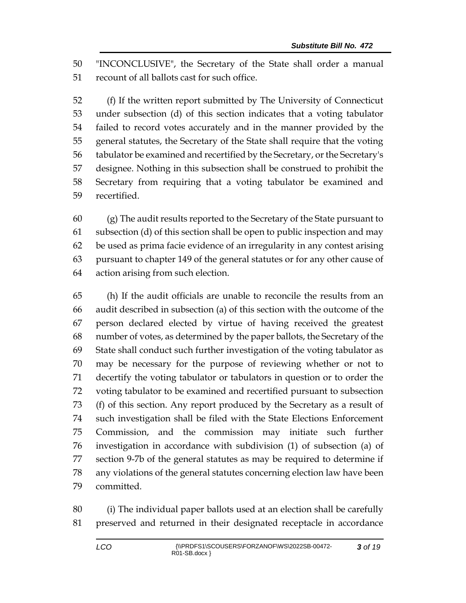"INCONCLUSIVE", the Secretary of the State shall order a manual recount of all ballots cast for such office.

 (f) If the written report submitted by The University of Connecticut under subsection (d) of this section indicates that a voting tabulator failed to record votes accurately and in the manner provided by the general statutes, the Secretary of the State shall require that the voting tabulator be examined and recertified by the Secretary, or the Secretary's designee. Nothing in this subsection shall be construed to prohibit the Secretary from requiring that a voting tabulator be examined and recertified.

 (g) The audit results reported to the Secretary of the State pursuant to subsection (d) of this section shall be open to public inspection and may be used as prima facie evidence of an irregularity in any contest arising pursuant to chapter 149 of the general statutes or for any other cause of action arising from such election.

 (h) If the audit officials are unable to reconcile the results from an audit described in subsection (a) of this section with the outcome of the person declared elected by virtue of having received the greatest number of votes, as determined by the paper ballots, the Secretary of the State shall conduct such further investigation of the voting tabulator as may be necessary for the purpose of reviewing whether or not to decertify the voting tabulator or tabulators in question or to order the voting tabulator to be examined and recertified pursuant to subsection (f) of this section. Any report produced by the Secretary as a result of such investigation shall be filed with the State Elections Enforcement Commission, and the commission may initiate such further investigation in accordance with subdivision (1) of subsection (a) of section 9-7b of the general statutes as may be required to determine if any violations of the general statutes concerning election law have been committed.

 (i) The individual paper ballots used at an election shall be carefully preserved and returned in their designated receptacle in accordance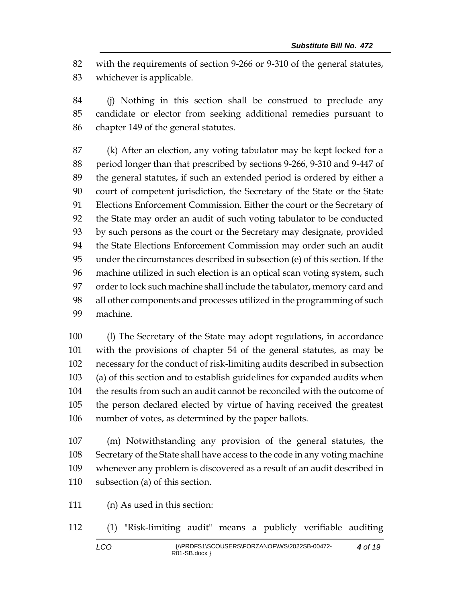with the requirements of section 9-266 or 9-310 of the general statutes, whichever is applicable.

 (j) Nothing in this section shall be construed to preclude any candidate or elector from seeking additional remedies pursuant to chapter 149 of the general statutes.

 (k) After an election, any voting tabulator may be kept locked for a period longer than that prescribed by sections 9-266, 9-310 and 9-447 of the general statutes, if such an extended period is ordered by either a court of competent jurisdiction, the Secretary of the State or the State Elections Enforcement Commission. Either the court or the Secretary of the State may order an audit of such voting tabulator to be conducted by such persons as the court or the Secretary may designate, provided the State Elections Enforcement Commission may order such an audit under the circumstances described in subsection (e) of this section. If the machine utilized in such election is an optical scan voting system, such order to lock such machine shall include the tabulator, memory card and all other components and processes utilized in the programming of such machine.

 (l) The Secretary of the State may adopt regulations, in accordance with the provisions of chapter 54 of the general statutes, as may be necessary for the conduct of risk-limiting audits described in subsection (a) of this section and to establish guidelines for expanded audits when the results from such an audit cannot be reconciled with the outcome of the person declared elected by virtue of having received the greatest number of votes, as determined by the paper ballots.

 (m) Notwithstanding any provision of the general statutes, the Secretary of the State shall have access to the code in any voting machine whenever any problem is discovered as a result of an audit described in subsection (a) of this section.

- (n) As used in this section:
- (1) "Risk-limiting audit" means a publicly verifiable auditing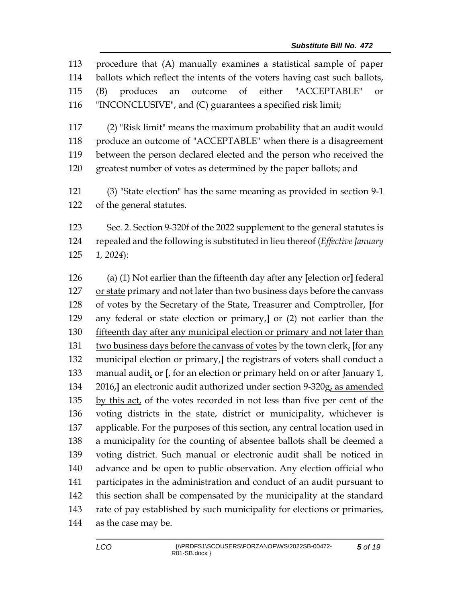procedure that (A) manually examines a statistical sample of paper ballots which reflect the intents of the voters having cast such ballots, (B) produces an outcome of either "ACCEPTABLE" or "INCONCLUSIVE", and (C) guarantees a specified risk limit;

 (2) "Risk limit" means the maximum probability that an audit would produce an outcome of "ACCEPTABLE" when there is a disagreement between the person declared elected and the person who received the greatest number of votes as determined by the paper ballots; and

 (3) "State election" has the same meaning as provided in section 9-1 of the general statutes.

 Sec. 2. Section 9-320f of the 2022 supplement to the general statutes is repealed and the following is substituted in lieu thereof (*Effective January 1, 2024*):

 (a) (1) Not earlier than the fifteenth day after any **[**election or**]** federal or state primary and not later than two business days before the canvass of votes by the Secretary of the State, Treasurer and Comptroller, **[**for any federal or state election or primary,**]** or (2) not earlier than the fifteenth day after any municipal election or primary and not later than two business days before the canvass of votes by the town clerk, **[**for any municipal election or primary,**]** the registrars of voters shall conduct a manual audit, or **[**, for an election or primary held on or after January 1, 2016,**]** an electronic audit authorized under section 9-320g, as amended by this act, of the votes recorded in not less than five per cent of the voting districts in the state, district or municipality, whichever is applicable. For the purposes of this section, any central location used in a municipality for the counting of absentee ballots shall be deemed a voting district. Such manual or electronic audit shall be noticed in advance and be open to public observation. Any election official who participates in the administration and conduct of an audit pursuant to this section shall be compensated by the municipality at the standard rate of pay established by such municipality for elections or primaries, as the case may be.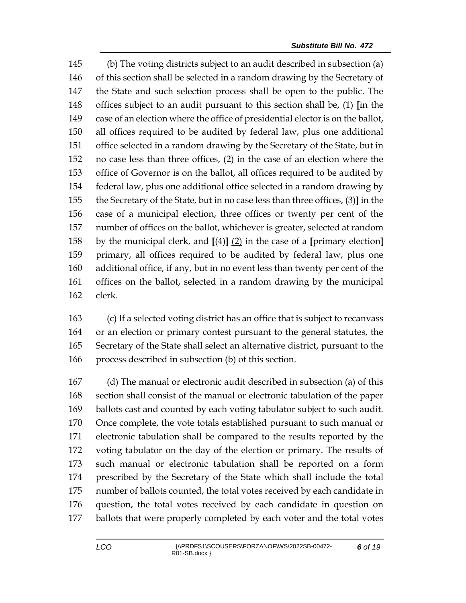(b) The voting districts subject to an audit described in subsection (a) of this section shall be selected in a random drawing by the Secretary of the State and such selection process shall be open to the public. The offices subject to an audit pursuant to this section shall be, (1) **[**in the case of an election where the office of presidential elector is on the ballot, all offices required to be audited by federal law, plus one additional office selected in a random drawing by the Secretary of the State, but in no case less than three offices, (2) in the case of an election where the office of Governor is on the ballot, all offices required to be audited by federal law, plus one additional office selected in a random drawing by the Secretary of the State, but in no case less than three offices, (3)**]** in the case of a municipal election, three offices or twenty per cent of the number of offices on the ballot, whichever is greater, selected at random by the municipal clerk, and **[**(4)**]** (2) in the case of a **[**primary election**]** primary, all offices required to be audited by federal law, plus one additional office, if any, but in no event less than twenty per cent of the offices on the ballot, selected in a random drawing by the municipal clerk.

 (c) If a selected voting district has an office that is subject to recanvass or an election or primary contest pursuant to the general statutes, the Secretary of the State shall select an alternative district, pursuant to the process described in subsection (b) of this section.

 (d) The manual or electronic audit described in subsection (a) of this section shall consist of the manual or electronic tabulation of the paper ballots cast and counted by each voting tabulator subject to such audit. Once complete, the vote totals established pursuant to such manual or electronic tabulation shall be compared to the results reported by the voting tabulator on the day of the election or primary. The results of such manual or electronic tabulation shall be reported on a form prescribed by the Secretary of the State which shall include the total number of ballots counted, the total votes received by each candidate in question, the total votes received by each candidate in question on ballots that were properly completed by each voter and the total votes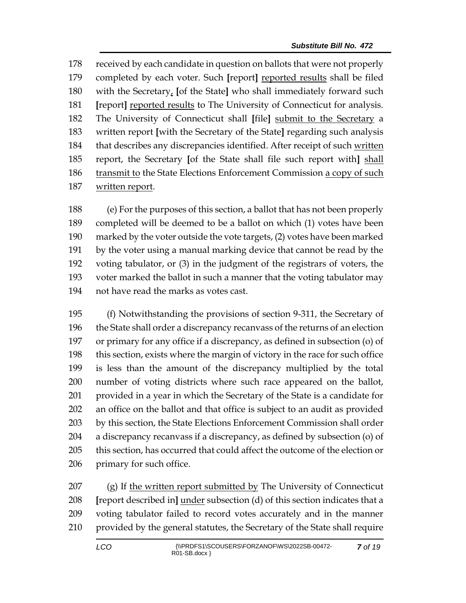received by each candidate in question on ballots that were not properly completed by each voter. Such **[**report**]** reported results shall be filed with the Secretary, **[**of the State**]** who shall immediately forward such **[**report**]** reported results to The University of Connecticut for analysis. The University of Connecticut shall **[**file**]** submit to the Secretary a written report **[**with the Secretary of the State**]** regarding such analysis 184 that describes any discrepancies identified. After receipt of such written report, the Secretary **[**of the State shall file such report with**]** shall transmit to the State Elections Enforcement Commission a copy of such written report.

 (e) For the purposes of this section, a ballot that has not been properly completed will be deemed to be a ballot on which (1) votes have been marked by the voter outside the vote targets, (2) votes have been marked by the voter using a manual marking device that cannot be read by the voting tabulator, or (3) in the judgment of the registrars of voters, the voter marked the ballot in such a manner that the voting tabulator may not have read the marks as votes cast.

 (f) Notwithstanding the provisions of section 9-311, the Secretary of the State shall order a discrepancy recanvass of the returns of an election or primary for any office if a discrepancy, as defined in subsection (o) of this section, exists where the margin of victory in the race for such office is less than the amount of the discrepancy multiplied by the total number of voting districts where such race appeared on the ballot, provided in a year in which the Secretary of the State is a candidate for an office on the ballot and that office is subject to an audit as provided 203 by this section, the State Elections Enforcement Commission shall order a discrepancy recanvass if a discrepancy, as defined by subsection (o) of this section, has occurred that could affect the outcome of the election or primary for such office.

 (g) If the written report submitted by The University of Connecticut **[**report described in**]** under subsection (d) of this section indicates that a voting tabulator failed to record votes accurately and in the manner provided by the general statutes, the Secretary of the State shall require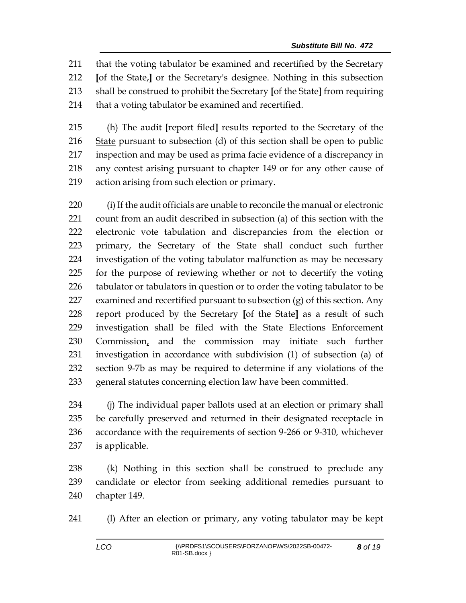that the voting tabulator be examined and recertified by the Secretary **[**of the State,**]** or the Secretary's designee. Nothing in this subsection shall be construed to prohibit the Secretary **[**of the State**]** from requiring 214 that a voting tabulator be examined and recertified.

 (h) The audit **[**report filed**]** results reported to the Secretary of the 216 State pursuant to subsection (d) of this section shall be open to public inspection and may be used as prima facie evidence of a discrepancy in any contest arising pursuant to chapter 149 or for any other cause of action arising from such election or primary.

 (i) If the audit officials are unable to reconcile the manual or electronic count from an audit described in subsection (a) of this section with the electronic vote tabulation and discrepancies from the election or primary, the Secretary of the State shall conduct such further investigation of the voting tabulator malfunction as may be necessary for the purpose of reviewing whether or not to decertify the voting tabulator or tabulators in question or to order the voting tabulator to be examined and recertified pursuant to subsection (g) of this section. Any report produced by the Secretary **[**of the State**]** as a result of such investigation shall be filed with the State Elections Enforcement Commission, and the commission may initiate such further investigation in accordance with subdivision (1) of subsection (a) of section 9-7b as may be required to determine if any violations of the general statutes concerning election law have been committed.

 (j) The individual paper ballots used at an election or primary shall be carefully preserved and returned in their designated receptacle in accordance with the requirements of section 9-266 or 9-310, whichever is applicable.

 (k) Nothing in this section shall be construed to preclude any candidate or elector from seeking additional remedies pursuant to chapter 149.

(l) After an election or primary, any voting tabulator may be kept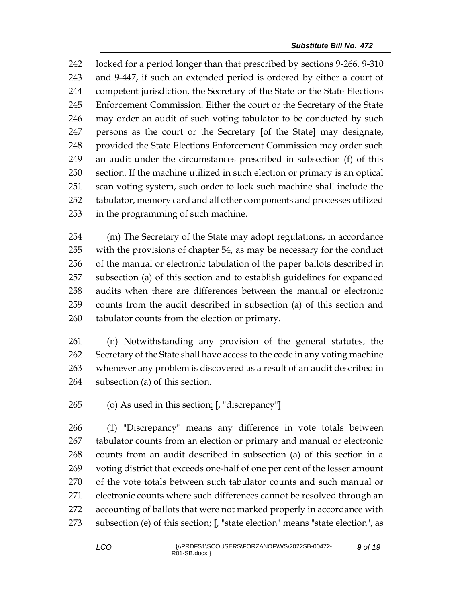locked for a period longer than that prescribed by sections 9-266, 9-310 and 9-447, if such an extended period is ordered by either a court of competent jurisdiction, the Secretary of the State or the State Elections Enforcement Commission. Either the court or the Secretary of the State may order an audit of such voting tabulator to be conducted by such persons as the court or the Secretary **[**of the State**]** may designate, provided the State Elections Enforcement Commission may order such an audit under the circumstances prescribed in subsection (f) of this section. If the machine utilized in such election or primary is an optical scan voting system, such order to lock such machine shall include the tabulator, memory card and all other components and processes utilized in the programming of such machine.

 (m) The Secretary of the State may adopt regulations, in accordance with the provisions of chapter 54, as may be necessary for the conduct of the manual or electronic tabulation of the paper ballots described in subsection (a) of this section and to establish guidelines for expanded audits when there are differences between the manual or electronic counts from the audit described in subsection (a) of this section and tabulator counts from the election or primary.

 (n) Notwithstanding any provision of the general statutes, the Secretary of the State shall have access to the code in any voting machine whenever any problem is discovered as a result of an audit described in subsection (a) of this section.

(o) As used in this section: **[**, "discrepancy"**]**

 (1) "Discrepancy" means any difference in vote totals between tabulator counts from an election or primary and manual or electronic counts from an audit described in subsection (a) of this section in a voting district that exceeds one-half of one per cent of the lesser amount of the vote totals between such tabulator counts and such manual or electronic counts where such differences cannot be resolved through an accounting of ballots that were not marked properly in accordance with subsection (e) of this section; **[**, "state election" means "state election", as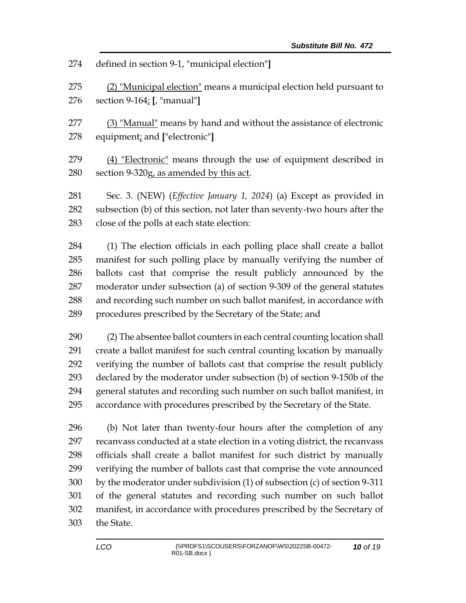defined in section 9-1, "municipal election"**]**

 (2) "Municipal election" means a municipal election held pursuant to section 9-164; **[**, "manual"**]**

 (3) "Manual" means by hand and without the assistance of electronic equipment; and **[**"electronic"**]**

279 (4) "Electronic" means through the use of equipment described in section 9-320g, as amended by this act.

 Sec. 3. (NEW) (*Effective January 1, 2024*) (a) Except as provided in subsection (b) of this section, not later than seventy-two hours after the close of the polls at each state election:

 (1) The election officials in each polling place shall create a ballot manifest for such polling place by manually verifying the number of ballots cast that comprise the result publicly announced by the moderator under subsection (a) of section 9-309 of the general statutes and recording such number on such ballot manifest, in accordance with procedures prescribed by the Secretary of the State; and

 (2) The absentee ballot counters in each central counting location shall create a ballot manifest for such central counting location by manually verifying the number of ballots cast that comprise the result publicly declared by the moderator under subsection (b) of section 9-150b of the general statutes and recording such number on such ballot manifest, in accordance with procedures prescribed by the Secretary of the State.

 (b) Not later than twenty-four hours after the completion of any recanvass conducted at a state election in a voting district, the recanvass officials shall create a ballot manifest for such district by manually verifying the number of ballots cast that comprise the vote announced by the moderator under subdivision (1) of subsection (c) of section 9-311 of the general statutes and recording such number on such ballot manifest, in accordance with procedures prescribed by the Secretary of the State.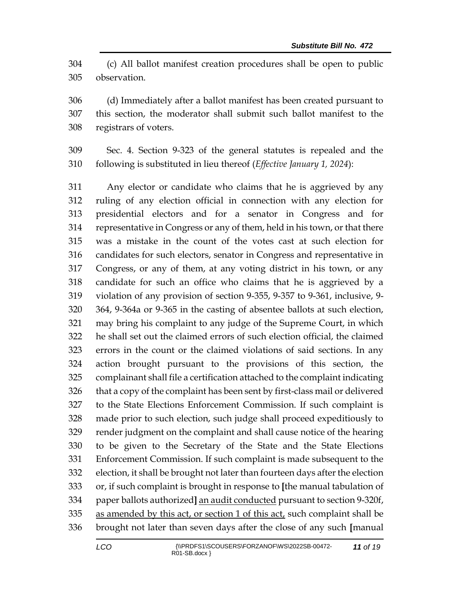(c) All ballot manifest creation procedures shall be open to public observation.

 (d) Immediately after a ballot manifest has been created pursuant to this section, the moderator shall submit such ballot manifest to the registrars of voters.

 Sec. 4. Section 9-323 of the general statutes is repealed and the following is substituted in lieu thereof (*Effective January 1, 2024*):

 Any elector or candidate who claims that he is aggrieved by any ruling of any election official in connection with any election for presidential electors and for a senator in Congress and for representative in Congress or any of them, held in his town, or that there was a mistake in the count of the votes cast at such election for candidates for such electors, senator in Congress and representative in Congress, or any of them, at any voting district in his town, or any candidate for such an office who claims that he is aggrieved by a violation of any provision of section 9-355, 9-357 to 9-361, inclusive, 9- 364, 9-364a or 9-365 in the casting of absentee ballots at such election, may bring his complaint to any judge of the Supreme Court, in which he shall set out the claimed errors of such election official, the claimed errors in the count or the claimed violations of said sections. In any action brought pursuant to the provisions of this section, the complainant shall file a certification attached to the complaint indicating that a copy of the complaint has been sent by first-class mail or delivered to the State Elections Enforcement Commission. If such complaint is made prior to such election, such judge shall proceed expeditiously to render judgment on the complaint and shall cause notice of the hearing to be given to the Secretary of the State and the State Elections Enforcement Commission. If such complaint is made subsequent to the election, it shall be brought not later than fourteen days after the election or, if such complaint is brought in response to **[**the manual tabulation of paper ballots authorized**]** an audit conducted pursuant to section 9-320f, 335 as amended by this act, or section 1 of this act, such complaint shall be brought not later than seven days after the close of any such **[**manual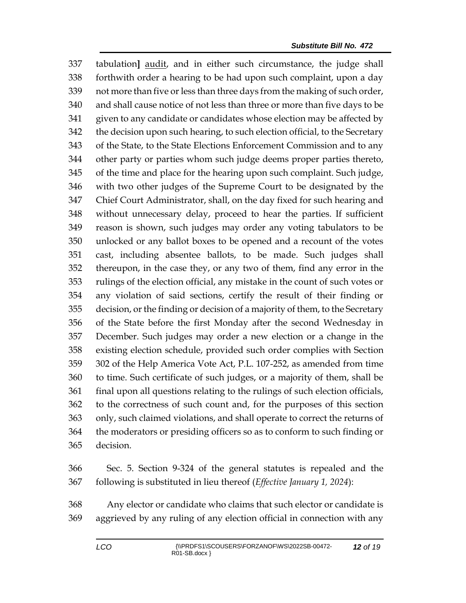tabulation**]** audit, and in either such circumstance, the judge shall forthwith order a hearing to be had upon such complaint, upon a day not more than five or less than three days from the making of such order, and shall cause notice of not less than three or more than five days to be given to any candidate or candidates whose election may be affected by the decision upon such hearing, to such election official, to the Secretary of the State, to the State Elections Enforcement Commission and to any other party or parties whom such judge deems proper parties thereto, of the time and place for the hearing upon such complaint. Such judge, with two other judges of the Supreme Court to be designated by the Chief Court Administrator, shall, on the day fixed for such hearing and without unnecessary delay, proceed to hear the parties. If sufficient reason is shown, such judges may order any voting tabulators to be unlocked or any ballot boxes to be opened and a recount of the votes cast, including absentee ballots, to be made. Such judges shall thereupon, in the case they, or any two of them, find any error in the rulings of the election official, any mistake in the count of such votes or any violation of said sections, certify the result of their finding or decision, or the finding or decision of a majority of them, to the Secretary of the State before the first Monday after the second Wednesday in December. Such judges may order a new election or a change in the existing election schedule, provided such order complies with Section 302 of the Help America Vote Act, P.L. 107-252, as amended from time to time. Such certificate of such judges, or a majority of them, shall be final upon all questions relating to the rulings of such election officials, to the correctness of such count and, for the purposes of this section only, such claimed violations, and shall operate to correct the returns of the moderators or presiding officers so as to conform to such finding or decision.

 Sec. 5. Section 9-324 of the general statutes is repealed and the following is substituted in lieu thereof (*Effective January 1, 2024*):

 Any elector or candidate who claims that such elector or candidate is aggrieved by any ruling of any election official in connection with any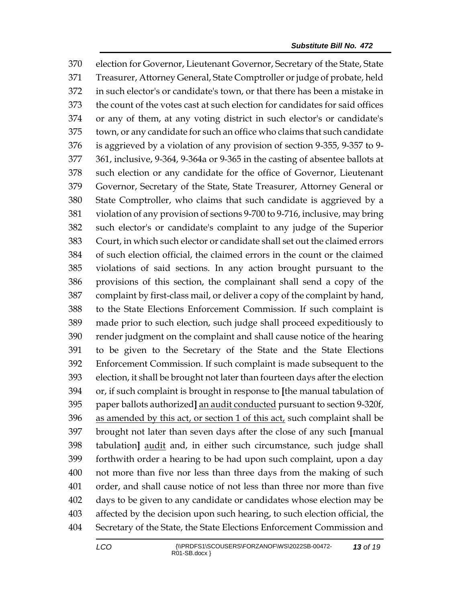election for Governor, Lieutenant Governor, Secretary of the State, State Treasurer, Attorney General, State Comptroller or judge of probate, held in such elector's or candidate's town, or that there has been a mistake in the count of the votes cast at such election for candidates for said offices or any of them, at any voting district in such elector's or candidate's town, or any candidate for such an office who claims that such candidate is aggrieved by a violation of any provision of section 9-355, 9-357 to 9- 361, inclusive, 9-364, 9-364a or 9-365 in the casting of absentee ballots at such election or any candidate for the office of Governor, Lieutenant Governor, Secretary of the State, State Treasurer, Attorney General or State Comptroller, who claims that such candidate is aggrieved by a violation of any provision of sections 9-700 to 9-716, inclusive, may bring such elector's or candidate's complaint to any judge of the Superior Court, in which such elector or candidate shall set out the claimed errors of such election official, the claimed errors in the count or the claimed violations of said sections. In any action brought pursuant to the provisions of this section, the complainant shall send a copy of the complaint by first-class mail, or deliver a copy of the complaint by hand, to the State Elections Enforcement Commission. If such complaint is made prior to such election, such judge shall proceed expeditiously to render judgment on the complaint and shall cause notice of the hearing to be given to the Secretary of the State and the State Elections Enforcement Commission. If such complaint is made subsequent to the election, it shall be brought not later than fourteen days after the election or, if such complaint is brought in response to **[**the manual tabulation of paper ballots authorized**]** an audit conducted pursuant to section 9-320f, as amended by this act, or section 1 of this act, such complaint shall be brought not later than seven days after the close of any such **[**manual tabulation**]** audit and, in either such circumstance, such judge shall forthwith order a hearing to be had upon such complaint, upon a day not more than five nor less than three days from the making of such order, and shall cause notice of not less than three nor more than five days to be given to any candidate or candidates whose election may be affected by the decision upon such hearing, to such election official, the Secretary of the State, the State Elections Enforcement Commission and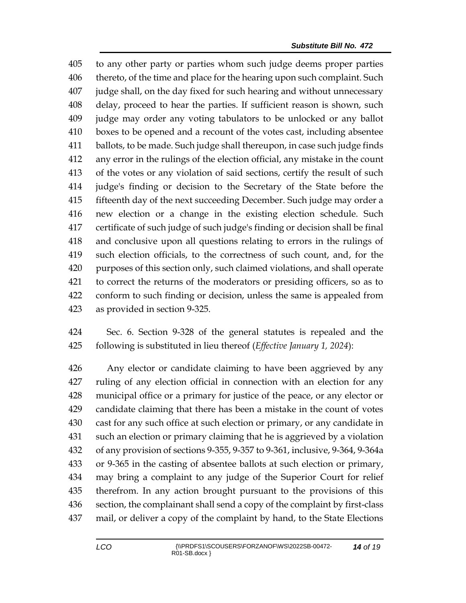to any other party or parties whom such judge deems proper parties thereto, of the time and place for the hearing upon such complaint. Such judge shall, on the day fixed for such hearing and without unnecessary delay, proceed to hear the parties. If sufficient reason is shown, such judge may order any voting tabulators to be unlocked or any ballot boxes to be opened and a recount of the votes cast, including absentee ballots, to be made. Such judge shall thereupon, in case such judge finds any error in the rulings of the election official, any mistake in the count of the votes or any violation of said sections, certify the result of such judge's finding or decision to the Secretary of the State before the fifteenth day of the next succeeding December. Such judge may order a new election or a change in the existing election schedule. Such certificate of such judge of such judge's finding or decision shall be final and conclusive upon all questions relating to errors in the rulings of such election officials, to the correctness of such count, and, for the purposes of this section only, such claimed violations, and shall operate to correct the returns of the moderators or presiding officers, so as to conform to such finding or decision, unless the same is appealed from as provided in section 9-325.

 Sec. 6. Section 9-328 of the general statutes is repealed and the following is substituted in lieu thereof (*Effective January 1, 2024*):

 Any elector or candidate claiming to have been aggrieved by any ruling of any election official in connection with an election for any municipal office or a primary for justice of the peace, or any elector or candidate claiming that there has been a mistake in the count of votes cast for any such office at such election or primary, or any candidate in such an election or primary claiming that he is aggrieved by a violation of any provision of sections 9-355, 9-357 to 9-361, inclusive, 9-364, 9-364a or 9-365 in the casting of absentee ballots at such election or primary, may bring a complaint to any judge of the Superior Court for relief therefrom. In any action brought pursuant to the provisions of this section, the complainant shall send a copy of the complaint by first-class mail, or deliver a copy of the complaint by hand, to the State Elections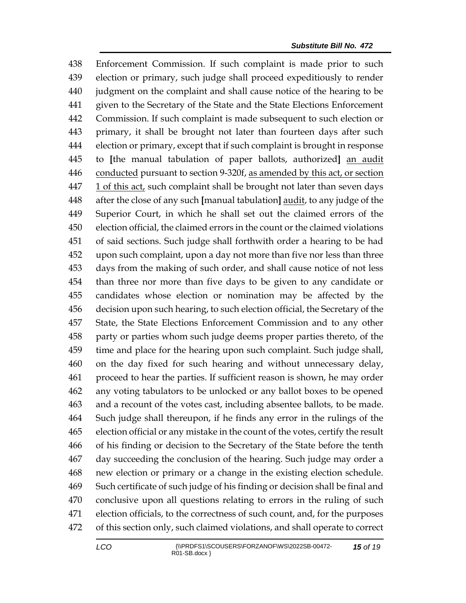Enforcement Commission. If such complaint is made prior to such election or primary, such judge shall proceed expeditiously to render judgment on the complaint and shall cause notice of the hearing to be given to the Secretary of the State and the State Elections Enforcement Commission. If such complaint is made subsequent to such election or primary, it shall be brought not later than fourteen days after such election or primary, except that if such complaint is brought in response to **[**the manual tabulation of paper ballots, authorized**]** an audit conducted pursuant to section 9-320f, as amended by this act, or section 1 of this act, such complaint shall be brought not later than seven days after the close of any such **[**manual tabulation**]** audit, to any judge of the Superior Court, in which he shall set out the claimed errors of the election official, the claimed errors in the count or the claimed violations of said sections. Such judge shall forthwith order a hearing to be had upon such complaint, upon a day not more than five nor less than three days from the making of such order, and shall cause notice of not less than three nor more than five days to be given to any candidate or candidates whose election or nomination may be affected by the decision upon such hearing, to such election official, the Secretary of the State, the State Elections Enforcement Commission and to any other party or parties whom such judge deems proper parties thereto, of the time and place for the hearing upon such complaint. Such judge shall, on the day fixed for such hearing and without unnecessary delay, proceed to hear the parties. If sufficient reason is shown, he may order any voting tabulators to be unlocked or any ballot boxes to be opened and a recount of the votes cast, including absentee ballots, to be made. Such judge shall thereupon, if he finds any error in the rulings of the election official or any mistake in the count of the votes, certify the result of his finding or decision to the Secretary of the State before the tenth day succeeding the conclusion of the hearing. Such judge may order a new election or primary or a change in the existing election schedule. Such certificate of such judge of his finding or decision shall be final and conclusive upon all questions relating to errors in the ruling of such election officials, to the correctness of such count, and, for the purposes of this section only, such claimed violations, and shall operate to correct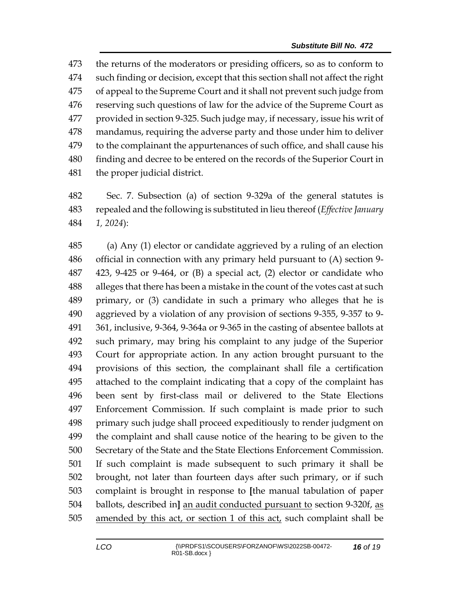the returns of the moderators or presiding officers, so as to conform to such finding or decision, except that this section shall not affect the right of appeal to the Supreme Court and it shall not prevent such judge from reserving such questions of law for the advice of the Supreme Court as provided in section 9-325. Such judge may, if necessary, issue his writ of mandamus, requiring the adverse party and those under him to deliver to the complainant the appurtenances of such office, and shall cause his finding and decree to be entered on the records of the Superior Court in the proper judicial district.

 Sec. 7. Subsection (a) of section 9-329a of the general statutes is repealed and the following is substituted in lieu thereof (*Effective January 1, 2024*):

 (a) Any (1) elector or candidate aggrieved by a ruling of an election official in connection with any primary held pursuant to (A) section 9- 423, 9-425 or 9-464, or (B) a special act, (2) elector or candidate who alleges that there has been a mistake in the count of the votes cast at such primary, or (3) candidate in such a primary who alleges that he is aggrieved by a violation of any provision of sections 9-355, 9-357 to 9- 361, inclusive, 9-364, 9-364a or 9-365 in the casting of absentee ballots at such primary, may bring his complaint to any judge of the Superior Court for appropriate action. In any action brought pursuant to the provisions of this section, the complainant shall file a certification attached to the complaint indicating that a copy of the complaint has been sent by first-class mail or delivered to the State Elections Enforcement Commission. If such complaint is made prior to such primary such judge shall proceed expeditiously to render judgment on the complaint and shall cause notice of the hearing to be given to the Secretary of the State and the State Elections Enforcement Commission. If such complaint is made subsequent to such primary it shall be brought, not later than fourteen days after such primary, or if such complaint is brought in response to **[**the manual tabulation of paper ballots, described in**]** an audit conducted pursuant to section 9-320f, as amended by this act, or section 1 of this act, such complaint shall be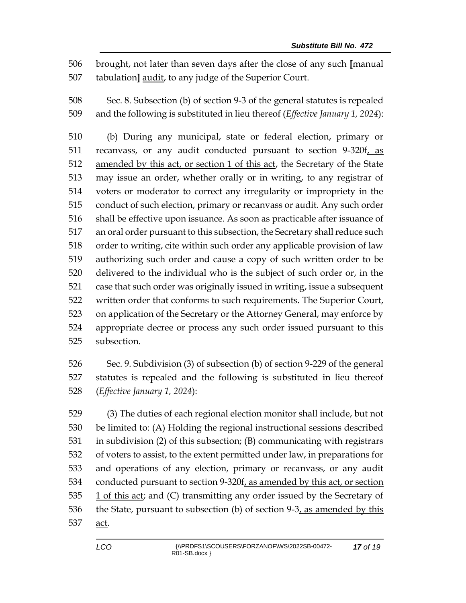brought, not later than seven days after the close of any such **[**manual tabulation**]** audit, to any judge of the Superior Court.

 Sec. 8. Subsection (b) of section 9-3 of the general statutes is repealed and the following is substituted in lieu thereof (*Effective January 1, 2024*):

 (b) During any municipal, state or federal election, primary or 511 recanvass, or any audit conducted pursuant to section 9-320f, as amended by this act, or section 1 of this act, the Secretary of the State may issue an order, whether orally or in writing, to any registrar of voters or moderator to correct any irregularity or impropriety in the conduct of such election, primary or recanvass or audit. Any such order shall be effective upon issuance. As soon as practicable after issuance of an oral order pursuant to this subsection, the Secretary shall reduce such order to writing, cite within such order any applicable provision of law authorizing such order and cause a copy of such written order to be delivered to the individual who is the subject of such order or, in the case that such order was originally issued in writing, issue a subsequent written order that conforms to such requirements. The Superior Court, on application of the Secretary or the Attorney General, may enforce by appropriate decree or process any such order issued pursuant to this subsection.

 Sec. 9. Subdivision (3) of subsection (b) of section 9-229 of the general statutes is repealed and the following is substituted in lieu thereof (*Effective January 1, 2024*):

 (3) The duties of each regional election monitor shall include, but not be limited to: (A) Holding the regional instructional sessions described in subdivision (2) of this subsection; (B) communicating with registrars of voters to assist, to the extent permitted under law, in preparations for and operations of any election, primary or recanvass, or any audit conducted pursuant to section 9-320f, as amended by this act, or section 535 1 of this act; and (C) transmitting any order issued by the Secretary of 536 the State, pursuant to subsection (b) of section  $9-3$ , as amended by this act.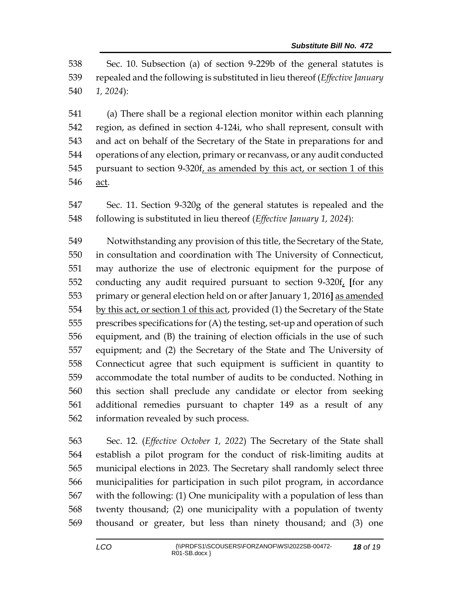Sec. 10. Subsection (a) of section 9-229b of the general statutes is repealed and the following is substituted in lieu thereof (*Effective January 1, 2024*):

 (a) There shall be a regional election monitor within each planning region, as defined in section 4-124i, who shall represent, consult with and act on behalf of the Secretary of the State in preparations for and operations of any election, primary or recanvass, or any audit conducted pursuant to section 9-320f, as amended by this act, or section 1 of this act.

 Sec. 11. Section 9-320g of the general statutes is repealed and the following is substituted in lieu thereof (*Effective January 1, 2024*):

 Notwithstanding any provision of this title, the Secretary of the State, in consultation and coordination with The University of Connecticut, may authorize the use of electronic equipment for the purpose of conducting any audit required pursuant to section 9-320f, **[**for any primary or general election held on or after January 1, 2016**]** as amended 554 by this act, or section 1 of this act, provided (1) the Secretary of the State prescribes specifications for (A) the testing, set-up and operation of such equipment, and (B) the training of election officials in the use of such equipment; and (2) the Secretary of the State and The University of Connecticut agree that such equipment is sufficient in quantity to accommodate the total number of audits to be conducted. Nothing in this section shall preclude any candidate or elector from seeking additional remedies pursuant to chapter 149 as a result of any information revealed by such process.

 Sec. 12. (*Effective October 1, 2022*) The Secretary of the State shall establish a pilot program for the conduct of risk-limiting audits at municipal elections in 2023. The Secretary shall randomly select three municipalities for participation in such pilot program, in accordance with the following: (1) One municipality with a population of less than twenty thousand; (2) one municipality with a population of twenty thousand or greater, but less than ninety thousand; and (3) one